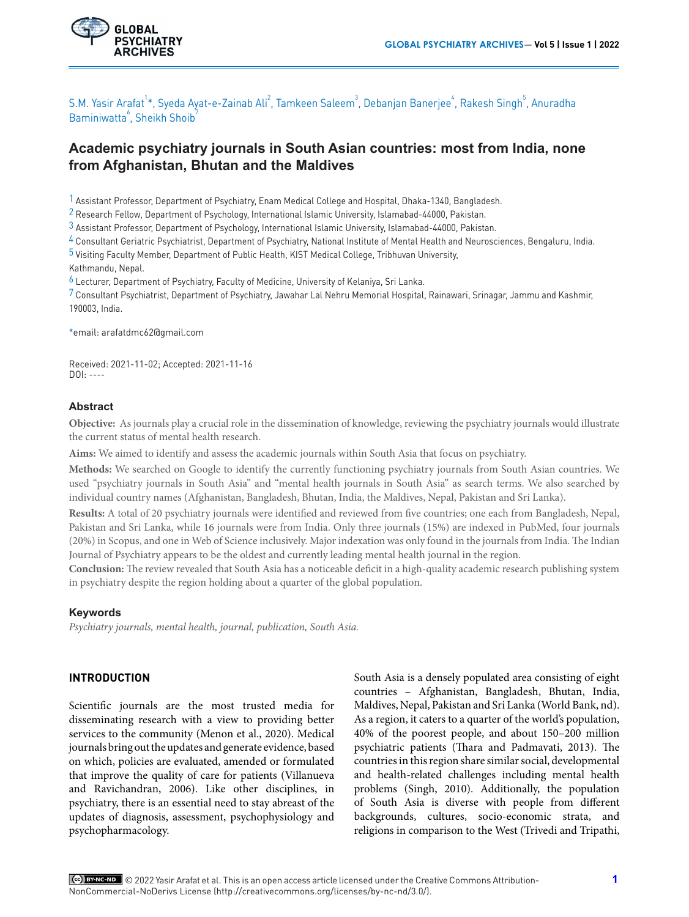

S.M. Yasir Arafat<sup>1</sup>\*, Syeda Ayat-e-Zainab Ali<sup>2</sup>, Tamkeen Saleem<sup>3</sup>, Debanjan Banerjee<sup>4</sup>, Rakesh Singh<sup>5</sup>, Anuradha Baminiwatta<sup>6</sup>, Sheikh Shoib<sup>7</sup>

# **Academic psychiatry journals in South Asian countries: most from India, none from Afghanistan, Bhutan and the Maldives**

1 Assistant Professor, Department of Psychiatry, Enam Medical College and Hospital, Dhaka-1340, Bangladesh.

2 Research Fellow, Department of Psychology, International Islamic University, Islamabad-44000, Pakistan.

3 Assistant Professor, Department of Psychology, International Islamic University, Islamabad-44000, Pakistan.

4 Consultant Geriatric Psychiatrist, Department of Psychiatry, National Institute of Mental Health and Neurosciences, Bengaluru, India.

5 Visiting Faculty Member, Department of Public Health, KIST Medical College, Tribhuvan University, Kathmandu, Nepal.

6 Lecturer, Department of Psychiatry, Faculty of Medicine, University of Kelaniya, Sri Lanka.

7 Consultant Psychiatrist, Department of Psychiatry, Jawahar Lal Nehru Memorial Hospital, Rainawari, Srinagar, Jammu and Kashmir, 190003, India.

\*email: arafatdmc62@gmail.com

Received: 2021-11-02; Accepted: 2021-11-16  $DOL: ---$ 

#### **Abstract**

**Objective:** As journals play a crucial role in the dissemination of knowledge, reviewing the psychiatry journals would illustrate the current status of mental health research.

**Aims:** We aimed to identify and assess the academic journals within South Asia that focus on psychiatry.

**Methods:** We searched on Google to identify the currently functioning psychiatry journals from South Asian countries. We used "psychiatry journals in South Asia" and "mental health journals in South Asia" as search terms. We also searched by individual country names (Afghanistan, Bangladesh, Bhutan, India, the Maldives, Nepal, Pakistan and Sri Lanka).

**Results:** A total of 20 psychiatry journals were identified and reviewed from five countries; one each from Bangladesh, Nepal, Pakistan and Sri Lanka, while 16 journals were from India. Only three journals (15%) are indexed in PubMed, four journals (20%) in Scopus, and one in Web of Science inclusively. Major indexation was only found in the journals from India. The Indian Journal of Psychiatry appears to be the oldest and currently leading mental health journal in the region.

**Conclusion:** The review revealed that South Asia has a noticeable deficit in a high-quality academic research publishing system in psychiatry despite the region holding about a quarter of the global population.

#### **Keywords**

*Psychiatry journals, mental health, journal, publication, South Asia.*

## **INTRODUCTION**

Scientific journals are the most trusted media for disseminating research with a view to providing better services to the community (Menon et al., 2020). Medical journals bring out the updates and generate evidence, based on which, policies are evaluated, amended or formulated that improve the quality of care for patients (Villanueva and Ravichandran, 2006). Like other disciplines, in psychiatry, there is an essential need to stay abreast of the updates of diagnosis, assessment, psychophysiology and psychopharmacology.

South Asia is a densely populated area consisting of eight countries – Afghanistan, Bangladesh, Bhutan, India, Maldives, Nepal, Pakistan and Sri Lanka (World Bank, nd). As a region, it caters to a quarter of the world's population, 40% of the poorest people, and about 150–200 million psychiatric patients (Thara and Padmavati, 2013). The countries in this region share similar social, developmental and health-related challenges including mental health problems (Singh, 2010). Additionally, the population of South Asia is diverse with people from different backgrounds, cultures, socio-economic strata, and religions in comparison to the West (Trivedi and Tripathi,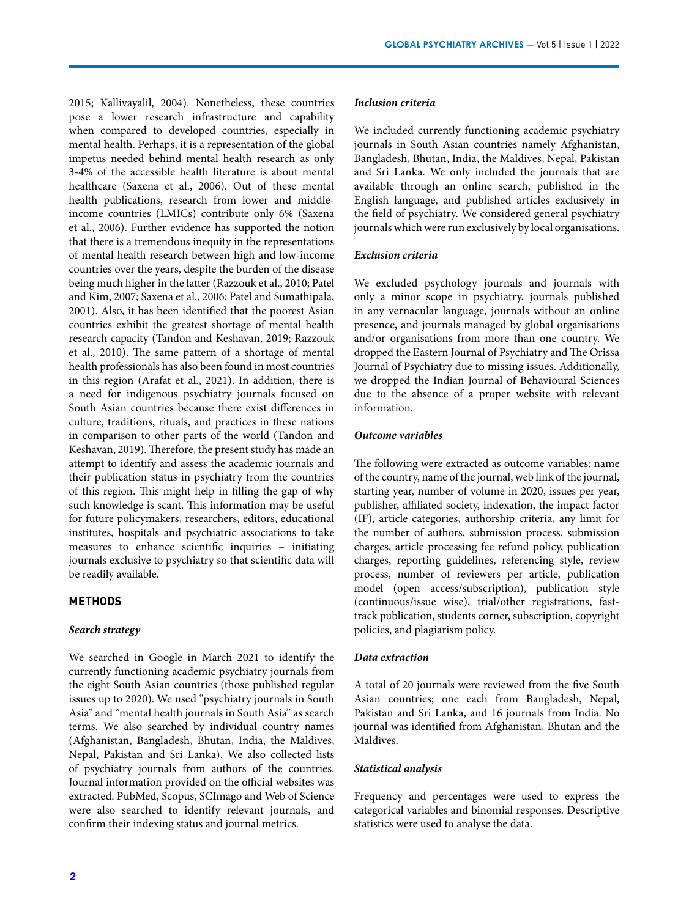2015; Kallivayalil, 2004). Nonetheless, these countries pose a lower research infrastructure and capability when compared to developed countries, especially in mental health. Perhaps, it is a representation of the global impetus needed behind mental health research as only 3-4% of the accessible health literature is about mental healthcare (Saxena et al., 2006). Out of these mental health publications, research from lower and middleincome countries (LMICs) contribute only 6% (Saxena et al., 2006). Further evidence has supported the notion that there is a tremendous inequity in the representations of mental health research between high and low-income countries over the years, despite the burden of the disease being much higher in the latter (Razzouk et al., 2010; Patel and Kim, 2007; Saxena et al., 2006; Patel and Sumathipala, 2001). Also, it has been identified that the poorest Asian countries exhibit the greatest shortage of mental health research capacity (Tandon and Keshavan, 2019; Razzouk et al., 2010). The same pattern of a shortage of mental health professionals has also been found in most countries in this region (Arafat et al., 2021). In addition, there is a need for indigenous psychiatry journals focused on South Asian countries because there exist differences in culture, traditions, rituals, and practices in these nations in comparison to other parts of the world (Tandon and Keshavan, 2019). Therefore, the present study has made an attempt to identify and assess the academic journals and their publication status in psychiatry from the countries of this region. This might help in filling the gap of why such knowledge is scant. This information may be useful for future policymakers, researchers, editors, educational institutes, hospitals and psychiatric associations to take measures to enhance scientific inquiries – initiating journals exclusive to psychiatry so that scientific data will be readily available.

#### **METHODS**

### *Search strategy*

We searched in Google in March 2021 to identify the currently functioning academic psychiatry journals from the eight South Asian countries (those published regular issues up to 2020). We used "psychiatry journals in South Asia" and "mental health journals in South Asia" as search terms. We also searched by individual country names (Afghanistan, Bangladesh, Bhutan, India, the Maldives, Nepal, Pakistan and Sri Lanka). We also collected lists of psychiatry journals from authors of the countries. Journal information provided on the official websites was extracted. PubMed, Scopus, SCImago and Web of Science were also searched to identify relevant journals, and confirm their indexing status and journal metrics.

#### *Inclusion criteria*

We included currently functioning academic psychiatry journals in South Asian countries namely Afghanistan, Bangladesh, Bhutan, India, the Maldives, Nepal, Pakistan and Sri Lanka. We only included the journals that are available through an online search, published in the English language, and published articles exclusively in the field of psychiatry. We considered general psychiatry journals which were run exclusively by local organisations.

#### *Exclusion criteria*

We excluded psychology journals and journals with only a minor scope in psychiatry, journals published in any vernacular language, journals without an online presence, and journals managed by global organisations and/or organisations from more than one country. We dropped the Eastern Journal of Psychiatry and The Orissa Journal of Psychiatry due to missing issues. Additionally, we dropped the Indian Journal of Behavioural Sciences due to the absence of a proper website with relevant information.

### *Outcome variables*

The following were extracted as outcome variables: name of the country, name of the journal, web link of the journal, starting year, number of volume in 2020, issues per year, publisher, affiliated society, indexation, the impact factor (IF), article categories, authorship criteria, any limit for the number of authors, submission process, submission charges, article processing fee refund policy, publication charges, reporting guidelines, referencing style, review process, number of reviewers per article, publication model (open access/subscription), publication style (continuous/issue wise), trial/other registrations, fasttrack publication, students corner, subscription, copyright policies, and plagiarism policy.

#### *Data extraction*

A total of 20 journals were reviewed from the five South Asian countries; one each from Bangladesh, Nepal, Pakistan and Sri Lanka, and 16 journals from India. No journal was identified from Afghanistan, Bhutan and the Maldives.

#### *Statistical analysis*

Frequency and percentages were used to express the categorical variables and binomial responses. Descriptive statistics were used to analyse the data.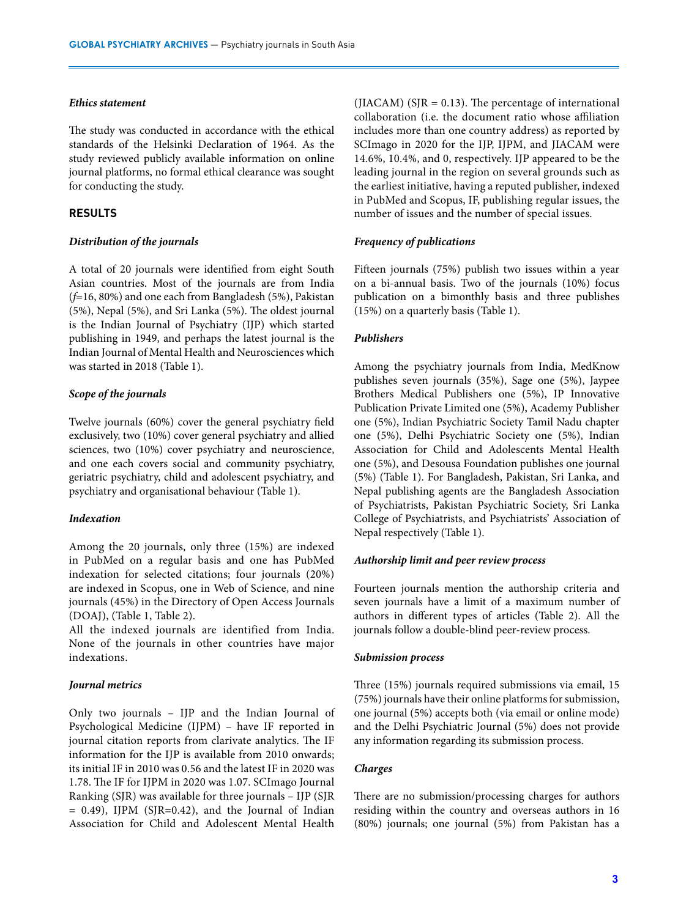#### *Ethics statement*

The study was conducted in accordance with the ethical standards of the Helsinki Declaration of 1964. As the study reviewed publicly available information on online journal platforms, no formal ethical clearance was sought for conducting the study.

### **RESULTS**

#### *Distribution of the journals*

A total of 20 journals were identified from eight South Asian countries. Most of the journals are from India (*f*=16, 80%) and one each from Bangladesh (5%), Pakistan (5%), Nepal (5%), and Sri Lanka (5%). The oldest journal is the Indian Journal of Psychiatry (IJP) which started publishing in 1949, and perhaps the latest journal is the Indian Journal of Mental Health and Neurosciences which was started in 2018 (Table 1).

#### *Scope of the journals*

Twelve journals (60%) cover the general psychiatry field exclusively, two (10%) cover general psychiatry and allied sciences, two (10%) cover psychiatry and neuroscience, and one each covers social and community psychiatry, geriatric psychiatry, child and adolescent psychiatry, and psychiatry and organisational behaviour (Table 1).

#### *Indexation*

Among the 20 journals, only three (15%) are indexed in PubMed on a regular basis and one has PubMed indexation for selected citations; four journals (20%) are indexed in Scopus, one in Web of Science, and nine journals (45%) in the Directory of Open Access Journals (DOAJ), (Table 1, Table 2).

All the indexed journals are identified from India. None of the journals in other countries have major indexations.

### *Journal metrics*

Only two journals – IJP and the Indian Journal of Psychological Medicine (IJPM) – have IF reported in journal citation reports from clarivate analytics. The IF information for the IJP is available from 2010 onwards; its initial IF in 2010 was 0.56 and the latest IF in 2020 was 1.78. The IF for IJPM in 2020 was 1.07. SCImago Journal Ranking (SJR) was available for three journals – IJP (SJR  $= 0.49$ ), IJPM (SJR=0.42), and the Journal of Indian Association for Child and Adolescent Mental Health

(JIACAM) ( $S$ JR = 0.13). The percentage of international collaboration (i.e. the document ratio whose affiliation includes more than one country address) as reported by SCImago in 2020 for the IJP, IJPM, and JIACAM were 14.6%, 10.4%, and 0, respectively. IJP appeared to be the leading journal in the region on several grounds such as the earliest initiative, having a reputed publisher, indexed in PubMed and Scopus, IF, publishing regular issues, the number of issues and the number of special issues.

### *Frequency of publications*

Fifteen journals (75%) publish two issues within a year on a bi-annual basis. Two of the journals (10%) focus publication on a bimonthly basis and three publishes (15%) on a quarterly basis (Table 1).

#### *Publishers*

Among the psychiatry journals from India, MedKnow publishes seven journals (35%), Sage one (5%), Jaypee Brothers Medical Publishers one (5%), IP Innovative Publication Private Limited one (5%), Academy Publisher one (5%), Indian Psychiatric Society Tamil Nadu chapter one (5%), Delhi Psychiatric Society one (5%), Indian Association for Child and Adolescents Mental Health one (5%), and Desousa Foundation publishes one journal (5%) (Table 1). For Bangladesh, Pakistan, Sri Lanka, and Nepal publishing agents are the Bangladesh Association of Psychiatrists, Pakistan Psychiatric Society, Sri Lanka College of Psychiatrists, and Psychiatrists' Association of Nepal respectively (Table 1).

#### *Authorship limit and peer review process*

Fourteen journals mention the authorship criteria and seven journals have a limit of a maximum number of authors in different types of articles (Table 2). All the journals follow a double-blind peer-review process.

#### *Submission process*

Three (15%) journals required submissions via email, 15 (75%) journals have their online platforms for submission, one journal (5%) accepts both (via email or online mode) and the Delhi Psychiatric Journal (5%) does not provide any information regarding its submission process.

### *Charges*

There are no submission/processing charges for authors residing within the country and overseas authors in 16 (80%) journals; one journal (5%) from Pakistan has a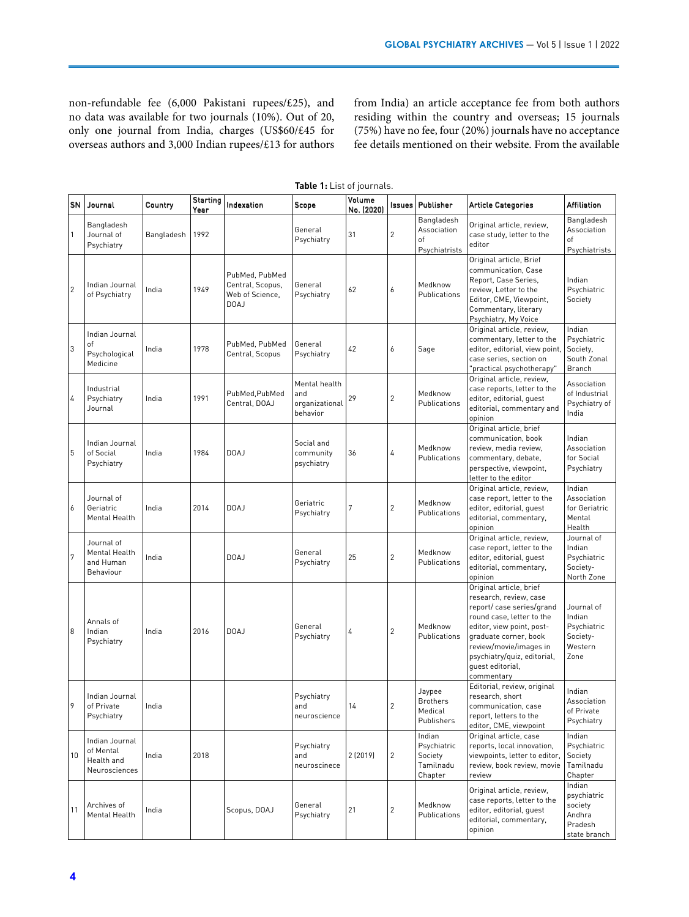non-refundable fee (6,000 Pakistani rupees/£25), and no data was available for two journals (10%). Out of 20, only one journal from India, charges (US\$60/£45 for overseas authors and 3,000 Indian rupees/£13 for authors from India) an article acceptance fee from both authors residing within the country and overseas; 15 journals (75%) have no fee, four (20%) journals have no acceptance fee details mentioned on their website. From the available

| SN             | Journal                                                    | Country    | Starting<br>Year | Indexation                                                    | Scope                                              | Volume<br>No. (2020) | Issues                  | Publisher                                                | <b>Article Categories</b>                                                                                                                                                                                                                                   | <b>Affiliation</b>                                                    |
|----------------|------------------------------------------------------------|------------|------------------|---------------------------------------------------------------|----------------------------------------------------|----------------------|-------------------------|----------------------------------------------------------|-------------------------------------------------------------------------------------------------------------------------------------------------------------------------------------------------------------------------------------------------------------|-----------------------------------------------------------------------|
| $\mathbf{1}$   | Bangladesh<br>Journal of<br>Psychiatry                     | Bangladesh | 1992             |                                                               | General<br>Psychiatry                              | 31                   | 2                       | Bangladesh<br>Association<br>of<br>Psychiatrists         | Original article, review,<br>case study, letter to the<br>editor                                                                                                                                                                                            | Bangladesh<br>Association<br>of<br>Psychiatrists                      |
| $\overline{c}$ | Indian Journal<br>of Psychiatry                            | India      | 1949             | PubMed, PubMed<br>Central, Scopus,<br>Web of Science,<br>DOAJ | General<br>Psychiatry                              | 62                   | 6                       | Medknow<br>Publications                                  | Original article, Brief<br>communication, Case<br>Report, Case Series,<br>review, Letter to the<br>Editor, CME, Viewpoint,<br>Commentary, literary<br>Psychiatry, My Voice                                                                                  | Indian<br>Psychiatric<br>Society                                      |
| 3              | Indian Journal<br>οf<br>Psychological<br>Medicine          | India      | 1978             | PubMed, PubMed<br>Central, Scopus                             | General<br>Psychiatry                              | 42                   | 6                       | Sage                                                     | Original article, review,<br>commentary, letter to the<br>editor, editorial, view point,<br>case series, section on<br>"practical psychotherapy"                                                                                                            | Indian<br>Psychiatric<br>Society,<br>South Zonal<br><b>Branch</b>     |
| $\overline{4}$ | Industrial<br>Psychiatry<br>Journal                        | India      | 1991             | PubMed, PubMed<br>Central, DOAJ                               | Mental health<br>and<br>organizational<br>behavior | 29                   | 2                       | Medknow<br>Publications                                  | Original article, review,<br>case reports, letter to the<br>editor, editorial, quest<br>editorial, commentary and<br>opinion                                                                                                                                | Association<br>of Industrial<br>Psychiatry of<br>India                |
| 5              | Indian Journal<br>of Social<br>Psychiatry                  | India      | 1984             | DOAJ                                                          | Social and<br>community<br>psychiatry              | 36                   | 4                       | Medknow<br>Publications                                  | Original article, brief<br>communication, book<br>review, media review,<br>commentary, debate,<br>perspective, viewpoint,<br>letter to the editor                                                                                                           | Indian<br>Association<br>for Social<br>Psychiatry                     |
| 6              | Journal of<br>Geriatric<br>Mental Health                   | India      | 2014             | DOAJ                                                          | Geriatric<br>Psychiatry                            | 7                    | $\overline{2}$          | Medknow<br>Publications                                  | Original article, review,<br>case report, letter to the<br>editor, editorial, quest<br>editorial, commentary,<br>opinion                                                                                                                                    | Indian<br>Association<br>for Geriatric<br>Mental<br>Health            |
| 7              | Journal of<br>Mental Health<br>and Human<br>Behaviour      | India      |                  | DOAJ                                                          | General<br>Psychiatry                              | 25                   | $\overline{c}$          | Medknow<br>Publications                                  | Original article, review,<br>case report, letter to the<br>editor, editorial, guest<br>editorial, commentary,<br>opinion                                                                                                                                    | Journal of<br>Indian<br>Psychiatric<br>Society-<br>North Zone         |
| 8              | Annals of<br>Indian<br>Psychiatry                          | India      | 2016             | DOAJ                                                          | General<br>Psychiatry                              | 4                    | $\overline{c}$          | Medknow<br>Publications                                  | Original article, brief<br>research, review, case<br>report/case series/grand<br>round case, letter to the<br>editor, view point, post-<br>graduate corner, book<br>review/movie/images in<br>psychiatry/quiz, editorial,<br>quest editorial,<br>commentary | Journal of<br>Indian<br>Psychiatric<br>Society-<br>Western<br>Zone    |
| 9              | Indian Journal<br>of Private<br>Psychiatry                 | India      |                  |                                                               | Psychiatry<br>and<br>neuroscience                  | 14                   | 2                       | Jaypee<br><b>Brothers</b><br>Medical<br>Publishers       | Editorial, review, original<br>research, short<br>communication, case<br>report, letters to the<br>editor, CME, viewpoint                                                                                                                                   | Indian<br>Association<br>of Private<br>Psychiatry                     |
| 10             | Indian Journal<br>of Mental<br>Health and<br>Neurosciences | India      | 2018             |                                                               | Psychiatry<br>and<br>neuroscinece                  | 2 (2019)             | 2                       | Indian<br>Psychiatric<br>Society<br>Tamilnadu<br>Chapter | Original article, case<br>reports, local innovation,<br>viewpoints, letter to editor,<br>review, book review, movie<br>review                                                                                                                               | Indian<br>Psychiatric<br>Society<br>Tamilnadu<br>Chapter              |
| 11             | Archives of<br>Mental Health                               | India      |                  | Scopus, DOAJ                                                  | General<br>Psychiatry                              | 21                   | $\overline{\mathbf{c}}$ | Medknow<br>Publications                                  | Original article, review,<br>case reports, letter to the<br>editor, editorial, quest<br>editorial, commentary,<br>opinion                                                                                                                                   | Indian<br>psychiatric<br>society<br>Andhra<br>Pradesh<br>state branch |

**Table 1:** List of journals.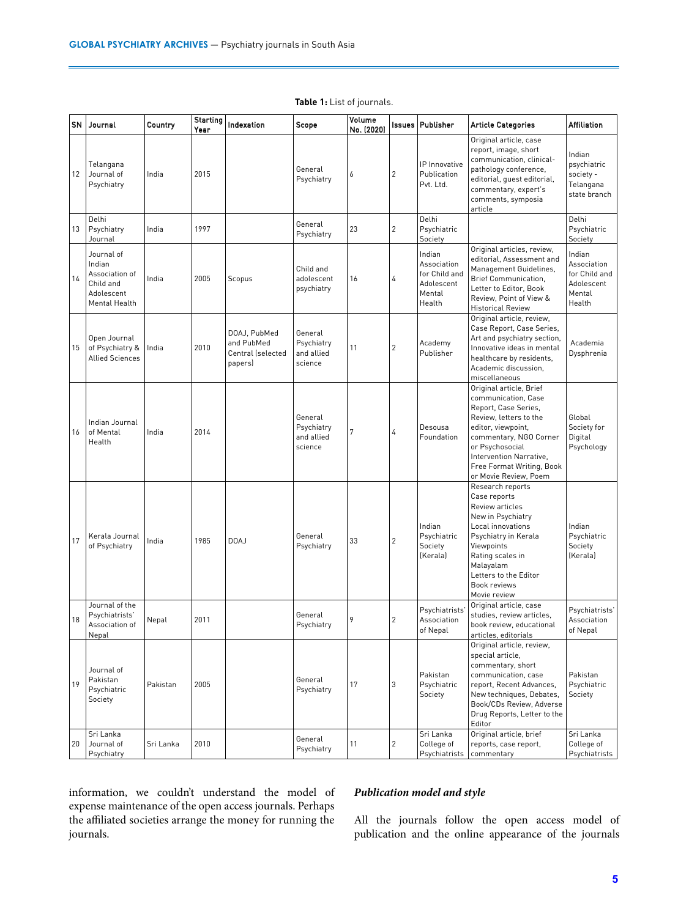| <b>SN</b> | Journal                                                                            | Country   | <b>Starting</b><br>Year | Indexation                                                 | Scope                                          | Volume<br>No. (2020) |                | Issues   Publisher                                                       | <b>Article Categories</b>                                                                                                                                                                                                                            | <b>Affiliation</b>                                                       |
|-----------|------------------------------------------------------------------------------------|-----------|-------------------------|------------------------------------------------------------|------------------------------------------------|----------------------|----------------|--------------------------------------------------------------------------|------------------------------------------------------------------------------------------------------------------------------------------------------------------------------------------------------------------------------------------------------|--------------------------------------------------------------------------|
| 12        | Telangana<br>Journal of<br>Psychiatry                                              | India     | 2015                    |                                                            | General<br>Psychiatry                          | 6                    | 2              | IP Innovative<br>Publication<br>Pvt. Ltd.                                | Original article, case<br>report, image, short<br>communication, clinical-<br>pathology conference,<br>editorial, quest editorial,<br>commentary, expert's<br>comments, symposia<br>article                                                          | Indian<br>psychiatric<br>society -<br>Telangana<br>state branch          |
| 13        | Delhi<br>Psychiatry<br>Journal                                                     | India     | 1997                    |                                                            | General<br>Psychiatry                          | 23                   | $\overline{c}$ | Delhi<br>Psychiatric<br>Society                                          |                                                                                                                                                                                                                                                      | Delhi<br>Psychiatric<br>Society                                          |
| 14        | Journal of<br>Indian<br>Association of<br>Child and<br>Adolescent<br>Mental Health | India     | 2005                    | Scopus                                                     | Child and<br>adolescent<br>psychiatry          | 16                   | 4              | Indian<br>Association<br>for Child and<br>Adolescent<br>Mental<br>Health | Original articles, review,<br>editorial, Assessment and<br>Management Guidelines,<br><b>Brief Communication,</b><br>Letter to Editor, Book<br>Review, Point of View &<br><b>Historical Review</b>                                                    | Indian<br>Association<br>for Child and<br>Adolescent<br>Mental<br>Health |
| 15        | Open Journal<br>of Psychiatry &<br><b>Allied Sciences</b>                          | India     | 2010                    | DOAJ, PubMed<br>and PubMed<br>Central (selected<br>papers) | General<br>Psychiatry<br>and allied<br>science | 11                   | $\overline{c}$ | Academy<br>Publisher                                                     | Original article, review,<br>Case Report, Case Series,<br>Art and psychiatry section,<br>Innovative ideas in mental<br>healthcare by residents,<br>Academic discussion,<br>miscellaneous                                                             | Academia<br>Dysphrenia                                                   |
| 16        | Indian Journal<br>of Mental<br>Health                                              | India     | 2014                    |                                                            | General<br>Psychiatry<br>and allied<br>science | 7                    | 4              | Desousa<br>Foundation                                                    | Original article, Brief<br>communication, Case<br>Report, Case Series,<br>Review, letters to the<br>editor, viewpoint,<br>commentary, NGO Corner<br>or Psychosocial<br>Intervention Narrative,<br>Free Format Writing, Book<br>or Movie Review, Poem | Global<br>Society for<br>Digital<br>Psychology                           |
| 17        | Kerala Journal<br>of Psychiatry                                                    | India     | 1985                    | DOAJ                                                       | General<br>Psychiatry                          | 33                   | $\overline{2}$ | Indian<br>Psychiatric<br>Society<br>(Kerala)                             | Research reports<br>Case reports<br>Review articles<br>New in Psychiatry<br>Local innovations<br>Psychiatry in Kerala<br>Viewpoints<br>Rating scales in<br>Malayalam<br>Letters to the Editor<br>Book reviews<br>Movie review                        | Indian<br>Psychiatric<br>Society<br>(Kerala)                             |
| 18        | Journal of the<br>Psychiatrists'<br>Association of<br>Nepal                        | Nepal     | 2011                    |                                                            | General<br>Psychiatry                          | 9                    | $\overline{c}$ | Psychiatrists'<br>Association<br>of Nepal                                | Original article, case<br>studies, review articles,<br>book review, educational<br>articles, editorials                                                                                                                                              | Psychiatrists'<br>Association<br>of Nepal                                |
| 19        | Journal of<br>Pakistan<br>Psychiatric<br>Society                                   | Pakistan  | 2005                    |                                                            | General<br>Psychiatry                          | 17                   | 3              | Pakistan<br>Psychiatric<br>Society                                       | Original article, review,<br>special article,<br>commentary, short<br>communication, case<br>report, Recent Advances,<br>New techniques, Debates,<br>Book/CDs Review, Adverse<br>Drug Reports, Letter to the<br>Editor                               | Pakistan<br>Psychiatric<br>Society                                       |
| 20        | Sri Lanka<br>Journal of<br>Psychiatry                                              | Sri Lanka | 2010                    |                                                            | General<br>Psychiatry                          | 11                   | 2              | Sri Lanka<br>College of<br>Psychiatrists                                 | Original article, brief<br>reports, case report,<br>commentary                                                                                                                                                                                       | Sri Lanka<br>College of<br>Psychiatrists                                 |

### **Table 1:** List of journals.

information, we couldn't understand the model of expense maintenance of the open access journals. Perhaps the affiliated societies arrange the money for running the journals.

### *Publication model and style*

All the journals follow the open access model of publication and the online appearance of the journals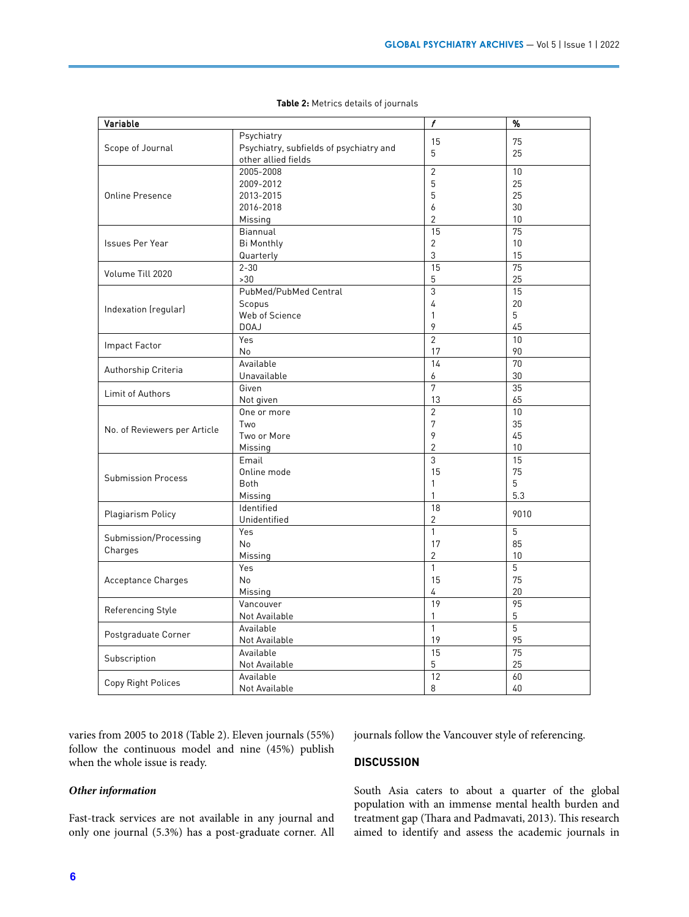| Variable                                                                                                                                                                                                                                           | f                                       |                                                                                                                                                                                                                                                                                                                                                      |                 |  |  |
|----------------------------------------------------------------------------------------------------------------------------------------------------------------------------------------------------------------------------------------------------|-----------------------------------------|------------------------------------------------------------------------------------------------------------------------------------------------------------------------------------------------------------------------------------------------------------------------------------------------------------------------------------------------------|-----------------|--|--|
|                                                                                                                                                                                                                                                    | Psychiatry                              |                                                                                                                                                                                                                                                                                                                                                      |                 |  |  |
|                                                                                                                                                                                                                                                    | Psychiatry, subfields of psychiatry and |                                                                                                                                                                                                                                                                                                                                                      |                 |  |  |
|                                                                                                                                                                                                                                                    | other allied fields                     |                                                                                                                                                                                                                                                                                                                                                      |                 |  |  |
|                                                                                                                                                                                                                                                    | 2005-2008                               | 15<br>5<br>$\overline{2}$<br>5<br>5<br>6<br>2<br>15<br>$\overline{2}$<br>3<br>15<br>5<br>3<br>4<br>1<br>9<br>$\overline{2}$<br>17<br>14<br>6<br>7<br>13<br>$\overline{2}$<br>7<br>9<br>$\overline{2}$<br>3<br>15<br>$\mathbf{1}$<br>1<br>18<br>2<br>$\mathbf{1}$<br>17<br>$\overline{2}$<br>$\mathbf{1}$<br>15<br>4<br>19<br>1<br>$\mathbf{1}$<br>19 | 10              |  |  |
|                                                                                                                                                                                                                                                    | 2009-2012                               |                                                                                                                                                                                                                                                                                                                                                      | 25              |  |  |
| <b>Online Presence</b>                                                                                                                                                                                                                             | 2013-2015                               |                                                                                                                                                                                                                                                                                                                                                      | 25              |  |  |
|                                                                                                                                                                                                                                                    | 2016-2018                               |                                                                                                                                                                                                                                                                                                                                                      | 30              |  |  |
|                                                                                                                                                                                                                                                    | Missing                                 |                                                                                                                                                                                                                                                                                                                                                      | 10              |  |  |
|                                                                                                                                                                                                                                                    | Biannual                                | 15<br>5<br>$\overline{12}$<br>8                                                                                                                                                                                                                                                                                                                      | 75              |  |  |
| Scope of Journal<br>Issues Per Year<br>Volume Till 2020<br>Indexation (regular)<br><b>Impact Factor</b><br>No. of Reviewers per Article<br><b>Submission Process</b><br>Plagiarism Policy<br>Submission/Processing<br>Charges<br>Referencing Style | <b>Bi Monthly</b>                       |                                                                                                                                                                                                                                                                                                                                                      | 10              |  |  |
|                                                                                                                                                                                                                                                    | Quarterly                               |                                                                                                                                                                                                                                                                                                                                                      | 15              |  |  |
|                                                                                                                                                                                                                                                    | $2 - 30$                                |                                                                                                                                                                                                                                                                                                                                                      | $\overline{75}$ |  |  |
|                                                                                                                                                                                                                                                    | >30                                     |                                                                                                                                                                                                                                                                                                                                                      | 25              |  |  |
|                                                                                                                                                                                                                                                    | PubMed/PubMed Central                   |                                                                                                                                                                                                                                                                                                                                                      | 15              |  |  |
|                                                                                                                                                                                                                                                    | Scopus                                  |                                                                                                                                                                                                                                                                                                                                                      | 20              |  |  |
|                                                                                                                                                                                                                                                    | Web of Science                          |                                                                                                                                                                                                                                                                                                                                                      |                 |  |  |
|                                                                                                                                                                                                                                                    | DOAJ                                    |                                                                                                                                                                                                                                                                                                                                                      | 45              |  |  |
|                                                                                                                                                                                                                                                    | Yes                                     |                                                                                                                                                                                                                                                                                                                                                      |                 |  |  |
|                                                                                                                                                                                                                                                    | No                                      |                                                                                                                                                                                                                                                                                                                                                      |                 |  |  |
|                                                                                                                                                                                                                                                    | Available                               |                                                                                                                                                                                                                                                                                                                                                      |                 |  |  |
| Authorship Criteria                                                                                                                                                                                                                                | Unavailable                             |                                                                                                                                                                                                                                                                                                                                                      |                 |  |  |
|                                                                                                                                                                                                                                                    | Given                                   |                                                                                                                                                                                                                                                                                                                                                      |                 |  |  |
| Limit of Authors                                                                                                                                                                                                                                   |                                         |                                                                                                                                                                                                                                                                                                                                                      |                 |  |  |
|                                                                                                                                                                                                                                                    | Not given                               |                                                                                                                                                                                                                                                                                                                                                      |                 |  |  |
|                                                                                                                                                                                                                                                    | One or more                             |                                                                                                                                                                                                                                                                                                                                                      |                 |  |  |
|                                                                                                                                                                                                                                                    | Two                                     |                                                                                                                                                                                                                                                                                                                                                      |                 |  |  |
|                                                                                                                                                                                                                                                    | Two or More                             |                                                                                                                                                                                                                                                                                                                                                      |                 |  |  |
|                                                                                                                                                                                                                                                    | Missing                                 |                                                                                                                                                                                                                                                                                                                                                      |                 |  |  |
|                                                                                                                                                                                                                                                    | Email                                   |                                                                                                                                                                                                                                                                                                                                                      |                 |  |  |
|                                                                                                                                                                                                                                                    | Online mode                             |                                                                                                                                                                                                                                                                                                                                                      |                 |  |  |
|                                                                                                                                                                                                                                                    | <b>Both</b>                             |                                                                                                                                                                                                                                                                                                                                                      |                 |  |  |
|                                                                                                                                                                                                                                                    | Missing                                 | %<br>75<br>25<br>5<br>10<br>90<br>70<br>30<br>35<br>65<br>10<br>35<br>45<br>10<br>15<br>75<br>5<br>5<br>5<br>5<br>5                                                                                                                                                                                                                                  | 5.3             |  |  |
|                                                                                                                                                                                                                                                    | Identified                              |                                                                                                                                                                                                                                                                                                                                                      | 9010            |  |  |
|                                                                                                                                                                                                                                                    | Unidentified                            |                                                                                                                                                                                                                                                                                                                                                      |                 |  |  |
|                                                                                                                                                                                                                                                    | Yes                                     |                                                                                                                                                                                                                                                                                                                                                      |                 |  |  |
|                                                                                                                                                                                                                                                    | No                                      |                                                                                                                                                                                                                                                                                                                                                      |                 |  |  |
|                                                                                                                                                                                                                                                    | Missing                                 |                                                                                                                                                                                                                                                                                                                                                      |                 |  |  |
|                                                                                                                                                                                                                                                    | Yes                                     |                                                                                                                                                                                                                                                                                                                                                      |                 |  |  |
| Acceptance Charges                                                                                                                                                                                                                                 | No                                      |                                                                                                                                                                                                                                                                                                                                                      | 75              |  |  |
|                                                                                                                                                                                                                                                    | Missing                                 |                                                                                                                                                                                                                                                                                                                                                      | 20              |  |  |
|                                                                                                                                                                                                                                                    | Vancouver                               |                                                                                                                                                                                                                                                                                                                                                      |                 |  |  |
|                                                                                                                                                                                                                                                    | Not Available                           |                                                                                                                                                                                                                                                                                                                                                      |                 |  |  |
|                                                                                                                                                                                                                                                    | Available                               |                                                                                                                                                                                                                                                                                                                                                      |                 |  |  |
| Postgraduate Corner                                                                                                                                                                                                                                | Not Available                           |                                                                                                                                                                                                                                                                                                                                                      | 95              |  |  |
|                                                                                                                                                                                                                                                    | Available                               |                                                                                                                                                                                                                                                                                                                                                      | 75              |  |  |
| Subscription                                                                                                                                                                                                                                       | Not Available                           | 85<br>10<br>95                                                                                                                                                                                                                                                                                                                                       | 25              |  |  |
|                                                                                                                                                                                                                                                    | Available                               |                                                                                                                                                                                                                                                                                                                                                      | 60              |  |  |
| Copy Right Polices                                                                                                                                                                                                                                 | Not Available                           |                                                                                                                                                                                                                                                                                                                                                      | 40              |  |  |

**Table 2:** Metrics details of journals

varies from 2005 to 2018 (Table 2). Eleven journals (55%) follow the continuous model and nine (45%) publish when the whole issue is ready.

#### *Other information*

Fast-track services are not available in any journal and only one journal (5.3%) has a post-graduate corner. All journals follow the Vancouver style of referencing.

# **DISCUSSION**

South Asia caters to about a quarter of the global population with an immense mental health burden and treatment gap (Thara and Padmavati, 2013). This research aimed to identify and assess the academic journals in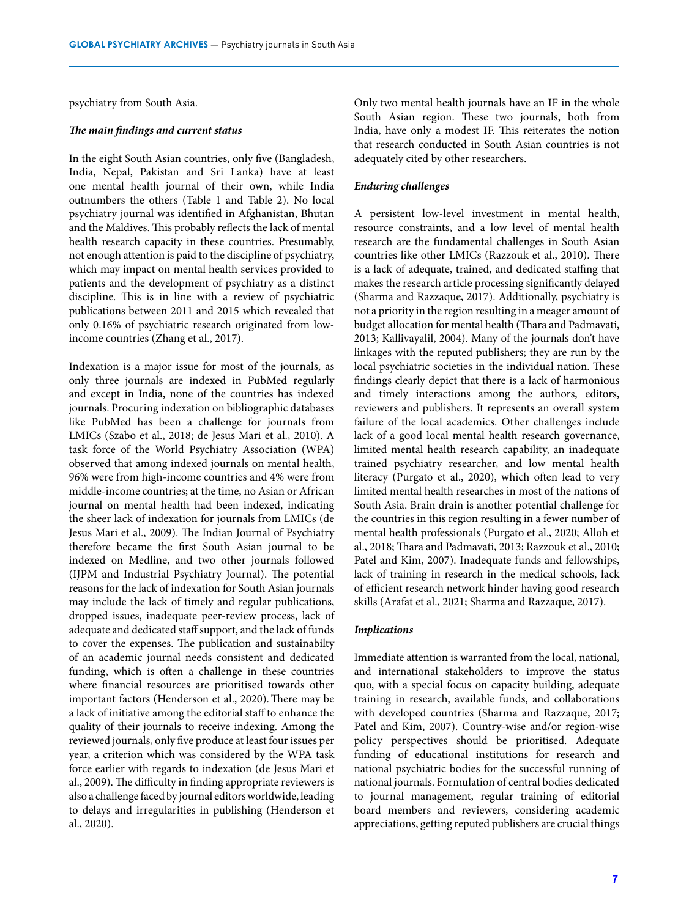psychiatry from South Asia.

### *The main findings and current status*

In the eight South Asian countries, only five (Bangladesh, India, Nepal, Pakistan and Sri Lanka) have at least one mental health journal of their own, while India outnumbers the others (Table 1 and Table 2). No local psychiatry journal was identified in Afghanistan, Bhutan and the Maldives. This probably reflects the lack of mental health research capacity in these countries. Presumably, not enough attention is paid to the discipline of psychiatry, which may impact on mental health services provided to patients and the development of psychiatry as a distinct discipline. This is in line with a review of psychiatric publications between 2011 and 2015 which revealed that only 0.16% of psychiatric research originated from lowincome countries (Zhang et al., 2017).

Indexation is a major issue for most of the journals, as only three journals are indexed in PubMed regularly and except in India, none of the countries has indexed journals. Procuring indexation on bibliographic databases like PubMed has been a challenge for journals from LMICs (Szabo et al., 2018; de Jesus Mari et al., 2010). A task force of the World Psychiatry Association (WPA) observed that among indexed journals on mental health, 96% were from high-income countries and 4% were from middle-income countries; at the time, no Asian or African journal on mental health had been indexed, indicating the sheer lack of indexation for journals from LMICs (de Jesus Mari et al., 2009). The Indian Journal of Psychiatry therefore became the first South Asian journal to be indexed on Medline, and two other journals followed (IJPM and Industrial Psychiatry Journal). The potential reasons for the lack of indexation for South Asian journals may include the lack of timely and regular publications, dropped issues, inadequate peer-review process, lack of adequate and dedicated staff support, and the lack of funds to cover the expenses. The publication and sustainabilty of an academic journal needs consistent and dedicated funding, which is often a challenge in these countries where financial resources are prioritised towards other important factors (Henderson et al., 2020). There may be a lack of initiative among the editorial staff to enhance the quality of their journals to receive indexing. Among the reviewed journals, only five produce at least four issues per year, a criterion which was considered by the WPA task force earlier with regards to indexation (de Jesus Mari et al., 2009). The difficulty in finding appropriate reviewers is also a challenge faced by journal editors worldwide, leading to delays and irregularities in publishing (Henderson et al., 2020).

Only two mental health journals have an IF in the whole South Asian region. These two journals, both from India, have only a modest IF. This reiterates the notion that research conducted in South Asian countries is not adequately cited by other researchers.

#### *Enduring challenges*

A persistent low-level investment in mental health, resource constraints, and a low level of mental health research are the fundamental challenges in South Asian countries like other LMICs (Razzouk et al., 2010). There is a lack of adequate, trained, and dedicated staffing that makes the research article processing significantly delayed (Sharma and Razzaque, 2017). Additionally, psychiatry is not a priority in the region resulting in a meager amount of budget allocation for mental health (Thara and Padmavati, 2013; Kallivayalil, 2004). Many of the journals don't have linkages with the reputed publishers; they are run by the local psychiatric societies in the individual nation. These findings clearly depict that there is a lack of harmonious and timely interactions among the authors, editors, reviewers and publishers. It represents an overall system failure of the local academics. Other challenges include lack of a good local mental health research governance, limited mental health research capability, an inadequate trained psychiatry researcher, and low mental health literacy (Purgato et al., 2020), which often lead to very limited mental health researches in most of the nations of South Asia. Brain drain is another potential challenge for the countries in this region resulting in a fewer number of mental health professionals (Purgato et al., 2020; Alloh et al., 2018; Thara and Padmavati, 2013; Razzouk et al., 2010; Patel and Kim, 2007). Inadequate funds and fellowships, lack of training in research in the medical schools, lack of efficient research network hinder having good research skills (Arafat et al., 2021; Sharma and Razzaque, 2017).

#### *Implications*

Immediate attention is warranted from the local, national, and international stakeholders to improve the status quo, with a special focus on capacity building, adequate training in research, available funds, and collaborations with developed countries (Sharma and Razzaque, 2017; Patel and Kim, 2007). Country-wise and/or region-wise policy perspectives should be prioritised. Adequate funding of educational institutions for research and national psychiatric bodies for the successful running of national journals. Formulation of central bodies dedicated to journal management, regular training of editorial board members and reviewers, considering academic appreciations, getting reputed publishers are crucial things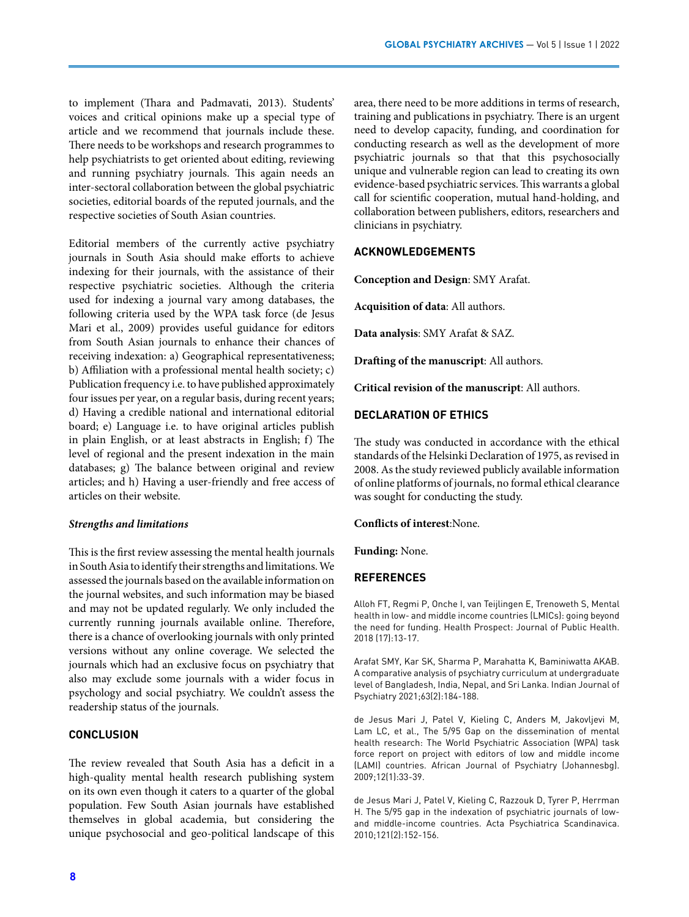to implement (Thara and Padmavati, 2013). Students' voices and critical opinions make up a special type of article and we recommend that journals include these. There needs to be workshops and research programmes to help psychiatrists to get oriented about editing, reviewing and running psychiatry journals. This again needs an inter-sectoral collaboration between the global psychiatric societies, editorial boards of the reputed journals, and the respective societies of South Asian countries.

Editorial members of the currently active psychiatry journals in South Asia should make efforts to achieve indexing for their journals, with the assistance of their respective psychiatric societies. Although the criteria used for indexing a journal vary among databases, the following criteria used by the WPA task force (de Jesus Mari et al., 2009) provides useful guidance for editors from South Asian journals to enhance their chances of receiving indexation: a) Geographical representativeness; b) Affiliation with a professional mental health society; c) Publication frequency i.e. to have published approximately four issues per year, on a regular basis, during recent years; d) Having a credible national and international editorial board; e) Language i.e. to have original articles publish in plain English, or at least abstracts in English; f) The level of regional and the present indexation in the main databases; g) The balance between original and review articles; and h) Having a user-friendly and free access of articles on their website.

#### *Strengths and limitations*

This is the first review assessing the mental health journals in South Asia to identify their strengths and limitations. We assessed the journals based on the available information on the journal websites, and such information may be biased and may not be updated regularly. We only included the currently running journals available online. Therefore, there is a chance of overlooking journals with only printed versions without any online coverage. We selected the journals which had an exclusive focus on psychiatry that also may exclude some journals with a wider focus in psychology and social psychiatry. We couldn't assess the readership status of the journals.

# **CONCLUSION**

The review revealed that South Asia has a deficit in a high-quality mental health research publishing system on its own even though it caters to a quarter of the global population. Few South Asian journals have established themselves in global academia, but considering the unique psychosocial and geo-political landscape of this area, there need to be more additions in terms of research, training and publications in psychiatry. There is an urgent need to develop capacity, funding, and coordination for conducting research as well as the development of more psychiatric journals so that that this psychosocially unique and vulnerable region can lead to creating its own evidence-based psychiatric services. This warrants a global call for scientific cooperation, mutual hand-holding, and collaboration between publishers, editors, researchers and clinicians in psychiatry.

### **ACKNOWLEDGEMENTS**

**Conception and Design**: SMY Arafat.

**Acquisition of data**: All authors.

**Data analysis**: SMY Arafat & SAZ.

**Drafting of the manuscript**: All authors.

**Critical revision of the manuscript**: All authors.

### **DECLARATION OF ETHICS**

The study was conducted in accordance with the ethical standards of the Helsinki Declaration of 1975, as revised in 2008. As the study reviewed publicly available information of online platforms of journals, no formal ethical clearance was sought for conducting the study.

#### **Conflicts of interest**:None.

**Funding:** None.

### **REFERENCES**

Alloh FT, Regmi P, Onche I, van Teijlingen E, Trenoweth S, Mental health in low- and middle income countries (LMICs): going beyond the need for funding. Health Prospect: Journal of Public Health. 2018 (17):13-17.

Arafat SMY, Kar SK, Sharma P, Marahatta K, Baminiwatta AKAB. A comparative analysis of psychiatry curriculum at undergraduate level of Bangladesh, India, Nepal, and Sri Lanka. Indian Journal of Psychiatry 2021;63(2):184-188.

de Jesus Mari J, Patel V, Kieling C, Anders M, Jakovljevi M, Lam LC, et al., The 5/95 Gap on the dissemination of mental health research: The World Psychiatric Association (WPA) task force report on project with editors of low and middle income (LAMI) countries. African Journal of Psychiatry (Johannesbg). 2009;12(1):33-39.

de Jesus Mari J, Patel V, Kieling C, Razzouk D, Tyrer P, Herrman H. The 5/95 gap in the indexation of psychiatric journals of lowand middle-income countries. Acta Psychiatrica Scandinavica. 2010;121(2):152-156.